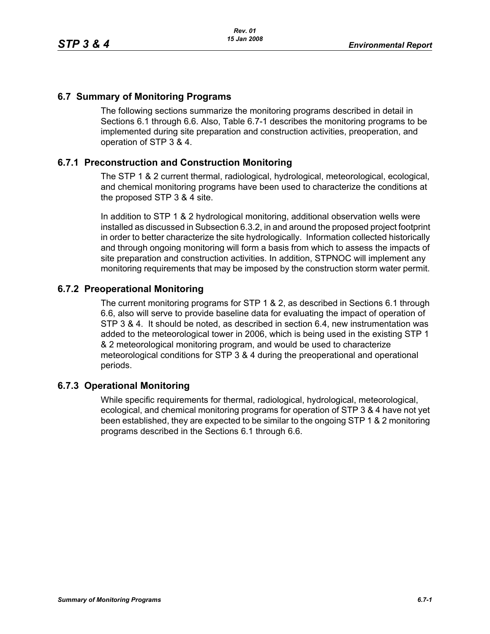## **6.7 Summary of Monitoring Programs**

The following sections summarize the monitoring programs described in detail in Sections 6.1 through 6.6. Also, Table 6.7-1 describes the monitoring programs to be implemented during site preparation and construction activities, preoperation, and operation of STP 3 & 4.

## **6.7.1 Preconstruction and Construction Monitoring**

The STP 1 & 2 current thermal, radiological, hydrological, meteorological, ecological, and chemical monitoring programs have been used to characterize the conditions at the proposed STP 3 & 4 site.

In addition to STP 1 & 2 hydrological monitoring, additional observation wells were installed as discussed in Subsection 6.3.2, in and around the proposed project footprint in order to better characterize the site hydrologically. Information collected historically and through ongoing monitoring will form a basis from which to assess the impacts of site preparation and construction activities. In addition, STPNOC will implement any monitoring requirements that may be imposed by the construction storm water permit.

## **6.7.2 Preoperational Monitoring**

The current monitoring programs for STP 1 & 2, as described in Sections 6.1 through 6.6, also will serve to provide baseline data for evaluating the impact of operation of STP 3 & 4. It should be noted, as described in section 6.4, new instrumentation was added to the meteorological tower in 2006, which is being used in the existing STP 1 & 2 meteorological monitoring program, and would be used to characterize meteorological conditions for STP 3 & 4 during the preoperational and operational periods.

## **6.7.3 Operational Monitoring**

While specific requirements for thermal, radiological, hydrological, meteorological, ecological, and chemical monitoring programs for operation of STP 3 & 4 have not yet been established, they are expected to be similar to the ongoing STP 1 & 2 monitoring programs described in the Sections 6.1 through 6.6.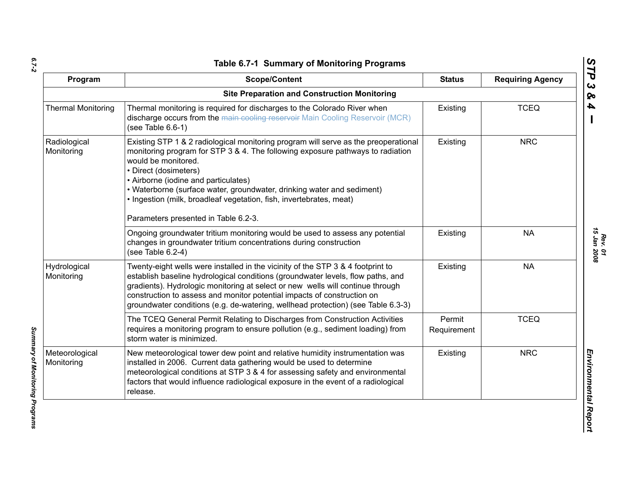*6.7-2*

*Summary of Monitoring Programs* 

Summary of Monitoring Programs

| Program                      | <b>Scope/Content</b>                                                                                                                                                                                                                                                                                                                                                                                                                                   | <b>Status</b>         | <b>Requiring Agency</b> |
|------------------------------|--------------------------------------------------------------------------------------------------------------------------------------------------------------------------------------------------------------------------------------------------------------------------------------------------------------------------------------------------------------------------------------------------------------------------------------------------------|-----------------------|-------------------------|
|                              | <b>Site Preparation and Construction Monitoring</b>                                                                                                                                                                                                                                                                                                                                                                                                    |                       |                         |
| <b>Thermal Monitoring</b>    | Thermal monitoring is required for discharges to the Colorado River when<br>discharge occurs from the main cooling reservoir Main Cooling Reservoir (MCR)<br>(see Table $6.6-1$ )                                                                                                                                                                                                                                                                      | Existing              | <b>TCEQ</b>             |
| Radiological<br>Monitoring   | Existing STP 1 & 2 radiological monitoring program will serve as the preoperational<br>monitoring program for STP 3 & 4. The following exposure pathways to radiation<br>would be monitored.<br>• Direct (dosimeters)<br>• Airborne (iodine and particulates)<br>• Waterborne (surface water, groundwater, drinking water and sediment)<br>· Ingestion (milk, broadleaf vegetation, fish, invertebrates, meat)<br>Parameters presented in Table 6.2-3. | Existing              | <b>NRC</b>              |
|                              | Ongoing groundwater tritium monitoring would be used to assess any potential<br>changes in groundwater tritium concentrations during construction<br>(see Table $6.2-4$ )                                                                                                                                                                                                                                                                              | Existing              | <b>NA</b>               |
| Hydrological<br>Monitoring   | Twenty-eight wells were installed in the vicinity of the STP 3 & 4 footprint to<br>establish baseline hydrological conditions (groundwater levels, flow paths, and<br>gradients). Hydrologic monitoring at select or new wells will continue through<br>construction to assess and monitor potential impacts of construction on<br>groundwater conditions (e.g. de-watering, wellhead protection) (see Table 6.3-3)                                    | Existing              | <b>NA</b>               |
|                              | The TCEQ General Permit Relating to Discharges from Construction Activities<br>requires a monitoring program to ensure pollution (e.g., sediment loading) from<br>storm water is minimized.                                                                                                                                                                                                                                                            | Permit<br>Requirement | <b>TCEQ</b>             |
| Meteorological<br>Monitoring | New meteorological tower dew point and relative humidity instrumentation was<br>installed in 2006. Current data gathering would be used to determine<br>meteorological conditions at STP 3 & 4 for assessing safety and environmental<br>factors that would influence radiological exposure in the event of a radiological<br>release.                                                                                                                 | Existing              | <b>NRC</b>              |

*STP 3 & 4*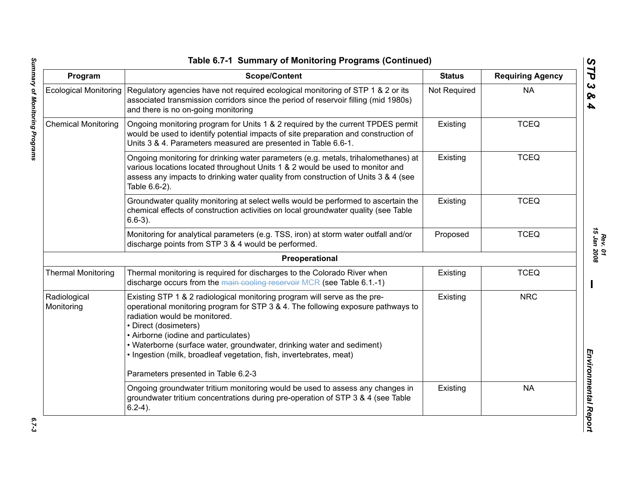| Program                      | <b>Scope/Content</b>                                                                                                                                                                                                                                                                                                                                                                                             | <b>Status</b> | <b>Requiring Agency</b> |
|------------------------------|------------------------------------------------------------------------------------------------------------------------------------------------------------------------------------------------------------------------------------------------------------------------------------------------------------------------------------------------------------------------------------------------------------------|---------------|-------------------------|
| <b>Ecological Monitoring</b> | Regulatory agencies have not required ecological monitoring of STP 1 & 2 or its<br>associated transmission corridors since the period of reservoir filling (mid 1980s)<br>and there is no on-going monitoring                                                                                                                                                                                                    | Not Required  | <b>NA</b>               |
| <b>Chemical Monitoring</b>   | Ongoing monitoring program for Units 1 & 2 required by the current TPDES permit<br>would be used to identify potential impacts of site preparation and construction of<br>Units 3 & 4. Parameters measured are presented in Table 6.6-1.                                                                                                                                                                         | Existing      | <b>TCEQ</b>             |
|                              | Ongoing monitoring for drinking water parameters (e.g. metals, trihalomethanes) at<br>various locations located throughout Units 1 & 2 would be used to monitor and<br>assess any impacts to drinking water quality from construction of Units 3 & 4 (see<br>Table 6.6-2).                                                                                                                                       | Existing      | <b>TCEQ</b>             |
|                              | Groundwater quality monitoring at select wells would be performed to ascertain the<br>chemical effects of construction activities on local groundwater quality (see Table<br>$6.6-3$ ).                                                                                                                                                                                                                          | Existing      | <b>TCEQ</b>             |
|                              | Monitoring for analytical parameters (e.g. TSS, iron) at storm water outfall and/or<br>discharge points from STP 3 & 4 would be performed.                                                                                                                                                                                                                                                                       | Proposed      | <b>TCEQ</b>             |
|                              | Preoperational                                                                                                                                                                                                                                                                                                                                                                                                   |               |                         |
| <b>Thermal Monitoring</b>    | Thermal monitoring is required for discharges to the Colorado River when<br>discharge occurs from the main cooling reservoir MCR (see Table 6.1.-1)                                                                                                                                                                                                                                                              | Existing      | <b>TCEQ</b>             |
| Radiological<br>Monitoring   | Existing STP 1 & 2 radiological monitoring program will serve as the pre-<br>operational monitoring program for STP 3 & 4. The following exposure pathways to<br>radiation would be monitored.<br>• Direct (dosimeters)<br>• Airborne (iodine and particulates)<br>• Waterborne (surface water, groundwater, drinking water and sediment)<br>· Ingestion (milk, broadleaf vegetation, fish, invertebrates, meat) | Existing      | <b>NRC</b>              |
|                              | Parameters presented in Table 6.2-3                                                                                                                                                                                                                                                                                                                                                                              |               |                         |
|                              | Ongoing groundwater tritium monitoring would be used to assess any changes in<br>groundwater tritium concentrations during pre-operation of STP 3 & 4 (see Table<br>$6.2-4$ ).                                                                                                                                                                                                                                   | Existing      | <b>NA</b>               |

*Rev. 01*<br>15 Jan 2008 *15 Jan 2008*

*STP 3 & 4*

 $6.7 - 3$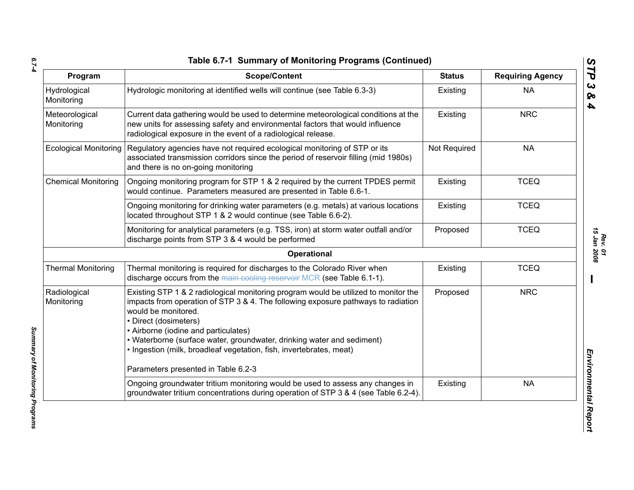| ۰,<br>۰. |  |
|----------|--|
| ×        |  |
| ×        |  |

*Summary of Monitoring Programs* 

Summary of Monitoring Programs

| Program                      | <b>Scope/Content</b>                                                                                                                                                                                                                                                                                                                                                                                                                                     | <b>Status</b> | <b>Requiring Agency</b> |
|------------------------------|----------------------------------------------------------------------------------------------------------------------------------------------------------------------------------------------------------------------------------------------------------------------------------------------------------------------------------------------------------------------------------------------------------------------------------------------------------|---------------|-------------------------|
| Hydrological<br>Monitoring   | Hydrologic monitoring at identified wells will continue (see Table 6.3-3)                                                                                                                                                                                                                                                                                                                                                                                | Existing      | <b>NA</b>               |
| Meteorological<br>Monitoring | Current data gathering would be used to determine meteorological conditions at the<br>new units for assessing safety and environmental factors that would influence<br>radiological exposure in the event of a radiological release.                                                                                                                                                                                                                     | Existing      | <b>NRC</b>              |
| <b>Ecological Monitoring</b> | Regulatory agencies have not required ecological monitoring of STP or its<br>associated transmission corridors since the period of reservoir filling (mid 1980s)<br>and there is no on-going monitoring                                                                                                                                                                                                                                                  | Not Required  | <b>NA</b>               |
| <b>Chemical Monitoring</b>   | Ongoing monitoring program for STP 1 & 2 required by the current TPDES permit<br>would continue. Parameters measured are presented in Table 6.6-1.                                                                                                                                                                                                                                                                                                       | Existing      | <b>TCEQ</b>             |
|                              | Ongoing monitoring for drinking water parameters (e.g. metals) at various locations<br>located throughout STP 1 & 2 would continue (see Table 6.6-2).                                                                                                                                                                                                                                                                                                    | Existing      | <b>TCEQ</b>             |
|                              | Monitoring for analytical parameters (e.g. TSS, iron) at storm water outfall and/or<br>discharge points from STP 3 & 4 would be performed                                                                                                                                                                                                                                                                                                                | Proposed      | <b>TCEQ</b>             |
|                              | Operational                                                                                                                                                                                                                                                                                                                                                                                                                                              |               |                         |
| <b>Thermal Monitoring</b>    | Thermal monitoring is required for discharges to the Colorado River when<br>discharge occurs from the main cooling reservoir MCR (see Table 6.1-1).                                                                                                                                                                                                                                                                                                      | Existing      | <b>TCEQ</b>             |
| Radiological<br>Monitoring   | Existing STP 1 & 2 radiological monitoring program would be utilized to monitor the<br>impacts from operation of STP 3 & 4. The following exposure pathways to radiation<br>would be monitored.<br>• Direct (dosimeters)<br>• Airborne (iodine and particulates)<br>• Waterborne (surface water, groundwater, drinking water and sediment)<br>· Ingestion (milk, broadleaf vegetation, fish, invertebrates, meat)<br>Parameters presented in Table 6.2-3 | Proposed      | <b>NRC</b>              |
|                              | Ongoing groundwater tritium monitoring would be used to assess any changes in<br>groundwater tritium concentrations during operation of STP 3 & 4 (see Table 6.2-4).                                                                                                                                                                                                                                                                                     | Existing      | <b>NA</b>               |

*Rev. 01*<br>15 Jan 2008 *15 Jan 2008*

*STP 3 & 4*